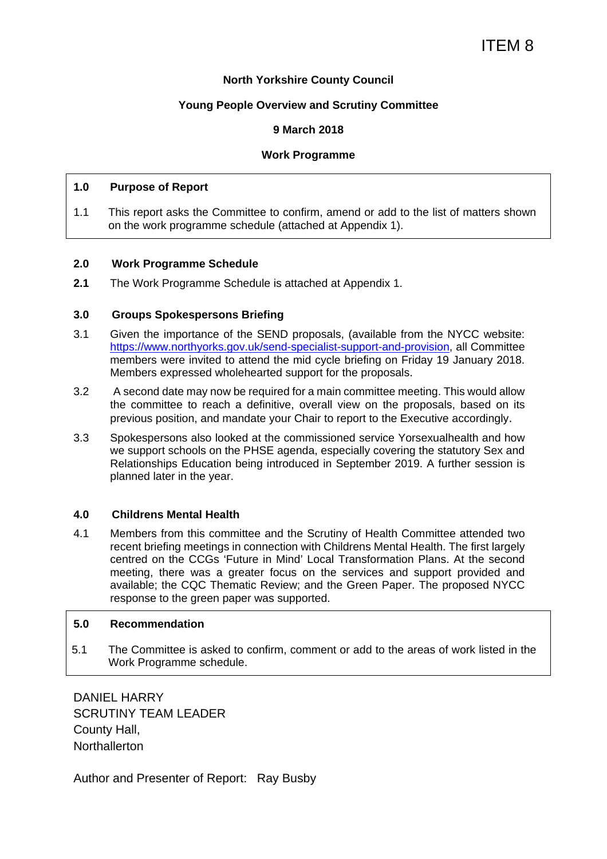#### **North Yorkshire County Council**

#### **Young People Overview and Scrutiny Committee**

#### **9 March 2018**

#### **Work Programme**

#### **1.0 Purpose of Report**

1.1 This report asks the Committee to confirm, amend or add to the list of matters shown on the work programme schedule (attached at Appendix 1).

#### **2.0 Work Programme Schedule**

**2.1** The Work Programme Schedule is attached at Appendix 1.

#### **3.0 Groups Spokespersons Briefing**

- 3.1 Given the importance of the SEND proposals, (available from the NYCC website: https://www.northyorks.gov.uk/send-specialist-support-and-provision, all Committee members were invited to attend the mid cycle briefing on Friday 19 January 2018. Members expressed wholehearted support for the proposals.
- 3.2 A second date may now be required for a main committee meeting. This would allow the committee to reach a definitive, overall view on the proposals, based on its previous position, and mandate your Chair to report to the Executive accordingly.
- 3.3 Spokespersons also looked at the commissioned service Yorsexualhealth and how we support schools on the PHSE agenda, especially covering the statutory Sex and Relationships Education being introduced in September 2019. A further session is planned later in the year.

#### **4.0 Childrens Mental Health**

4.1 Members from this committee and the Scrutiny of Health Committee attended two recent briefing meetings in connection with Childrens Mental Health. The first largely centred on the CCGs 'Future in Mind' Local Transformation Plans. At the second meeting, there was a greater focus on the services and support provided and available; the CQC Thematic Review; and the Green Paper. The proposed NYCC response to the green paper was supported.

#### **5.0 Recommendation**

5.1 The Committee is asked to confirm, comment or add to the areas of work listed in the Work Programme schedule.

DANIEL HARRY SCRUTINY TEAM LEADER County Hall, **Northallerton** 

Author and Presenter of Report: Ray Busby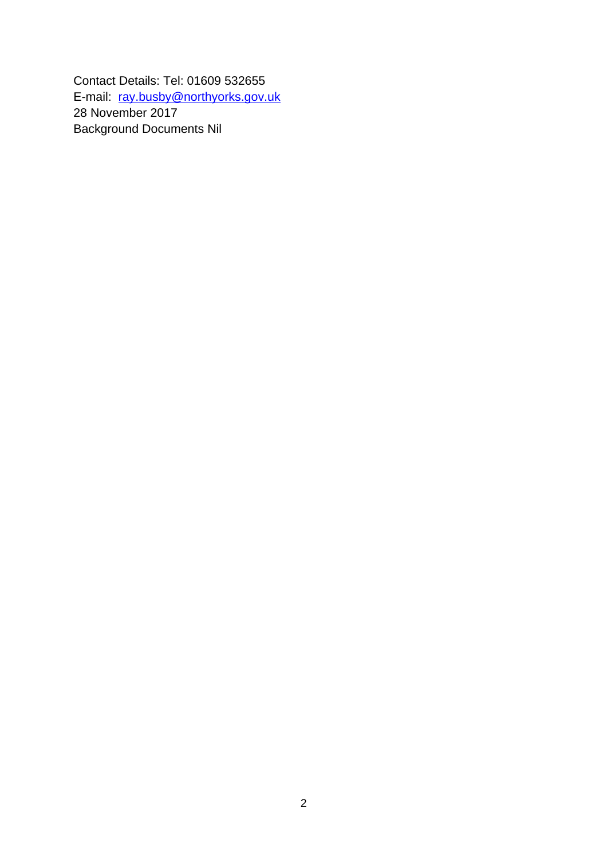Contact Details: Tel: 01609 532655 E-mail: ray.busby@northyorks.gov.uk 28 November 2017 Background Documents Nil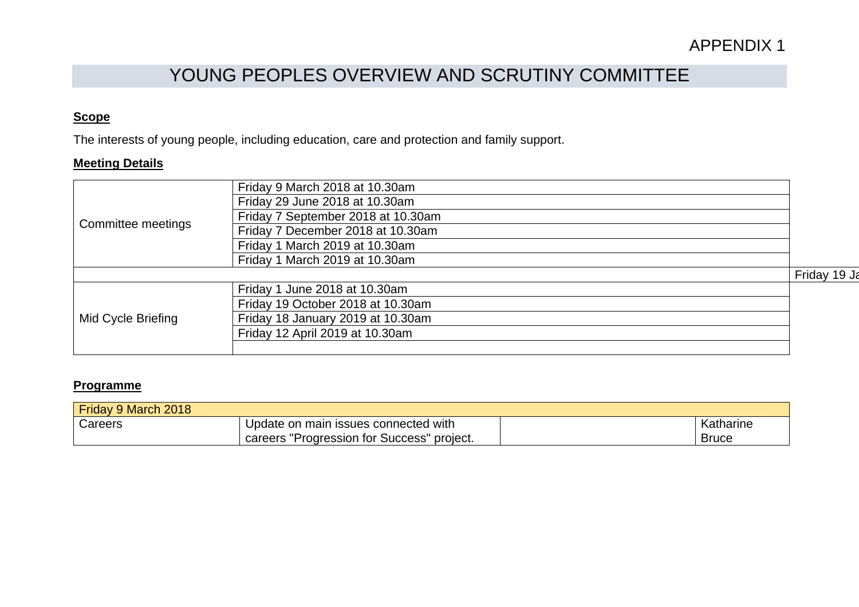# YOUNG PEOPLES OVERVIEW AND SCRUTINY COMMITTEE

## **Scope**

The interests of young people, including education, care and protection and family support.

#### **Meeting Details**

| Committee meetings | Friday 9 March 2018 at 10.30am     |              |
|--------------------|------------------------------------|--------------|
|                    | Friday 29 June 2018 at 10.30am     |              |
|                    | Friday 7 September 2018 at 10.30am |              |
|                    | Friday 7 December 2018 at 10.30am  |              |
|                    | Friday 1 March 2019 at 10.30am     |              |
|                    | Friday 1 March 2019 at 10.30am     |              |
|                    |                                    | Friday 19 Ja |
|                    | Friday 1 June 2018 at 10.30am      |              |
|                    | Friday 19 October 2018 at 10.30am  |              |
| Mid Cycle Briefing | Friday 18 January 2019 at 10.30am  |              |
|                    | Friday 12 April 2019 at 10.30am    |              |
|                    |                                    |              |

### **Programme**

| Friday 9 March 2018 |                                                  |              |
|---------------------|--------------------------------------------------|--------------|
| Careers             | Update on main issues connected with             | Katharine    |
|                     | "Progression for Success"<br>project.<br>careers | <b>Bruce</b> |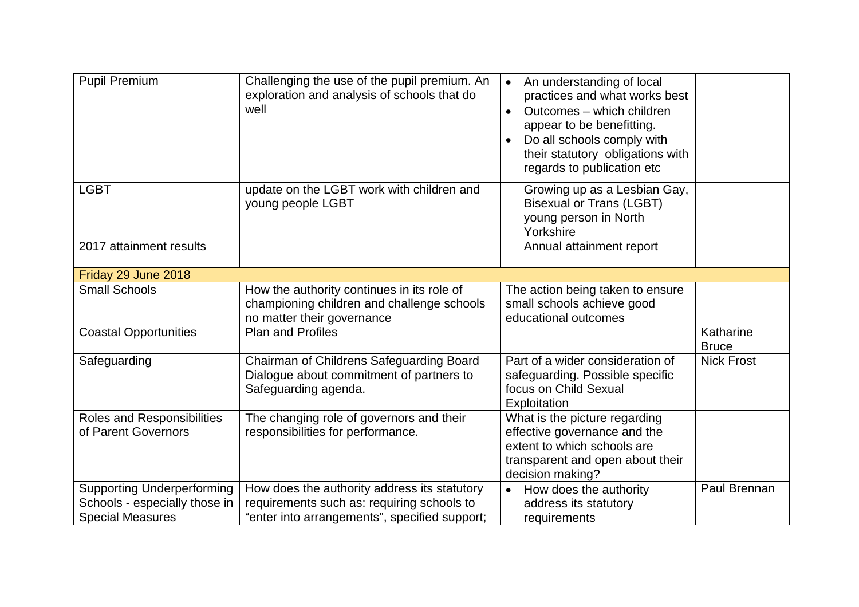| <b>Pupil Premium</b>                                                                          | Challenging the use of the pupil premium. An<br>exploration and analysis of schools that do<br>well                                         | An understanding of local<br>$\bullet$<br>practices and what works best<br>Outcomes - which children<br>$\bullet$<br>appear to be benefitting.<br>Do all schools comply with<br>$\bullet$<br>their statutory obligations with<br>regards to publication etc |                           |
|-----------------------------------------------------------------------------------------------|---------------------------------------------------------------------------------------------------------------------------------------------|-------------------------------------------------------------------------------------------------------------------------------------------------------------------------------------------------------------------------------------------------------------|---------------------------|
| <b>LGBT</b>                                                                                   | update on the LGBT work with children and<br>young people LGBT                                                                              | Growing up as a Lesbian Gay,<br><b>Bisexual or Trans (LGBT)</b><br>young person in North<br>Yorkshire                                                                                                                                                       |                           |
| 2017 attainment results                                                                       |                                                                                                                                             | Annual attainment report                                                                                                                                                                                                                                    |                           |
| Friday 29 June 2018                                                                           |                                                                                                                                             |                                                                                                                                                                                                                                                             |                           |
| <b>Small Schools</b>                                                                          | How the authority continues in its role of<br>championing children and challenge schools<br>no matter their governance                      | The action being taken to ensure<br>small schools achieve good<br>educational outcomes                                                                                                                                                                      |                           |
| <b>Coastal Opportunities</b>                                                                  | <b>Plan and Profiles</b>                                                                                                                    |                                                                                                                                                                                                                                                             | Katharine<br><b>Bruce</b> |
| Safeguarding                                                                                  | Chairman of Childrens Safeguarding Board<br>Dialogue about commitment of partners to<br>Safeguarding agenda.                                | Part of a wider consideration of<br>safeguarding. Possible specific<br>focus on Child Sexual<br>Exploitation                                                                                                                                                | <b>Nick Frost</b>         |
| Roles and Responsibilities<br>of Parent Governors                                             | The changing role of governors and their<br>responsibilities for performance.                                                               | What is the picture regarding<br>effective governance and the<br>extent to which schools are<br>transparent and open about their<br>decision making?                                                                                                        |                           |
| <b>Supporting Underperforming</b><br>Schools - especially those in<br><b>Special Measures</b> | How does the authority address its statutory<br>requirements such as: requiring schools to<br>"enter into arrangements", specified support; | How does the authority<br>address its statutory<br>requirements                                                                                                                                                                                             | Paul Brennan              |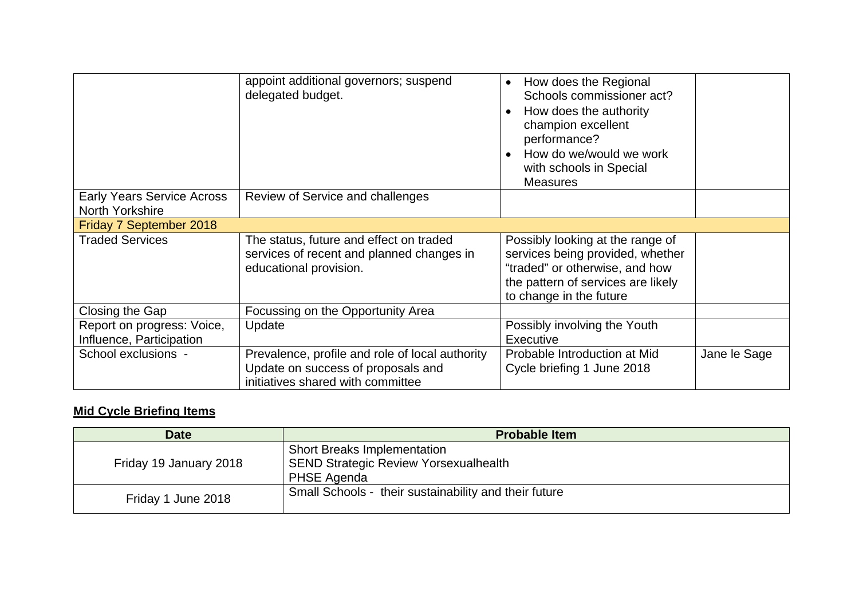|                                                        | appoint additional governors; suspend<br>delegated budget.                                                                 | How does the Regional<br>$\bullet$<br>Schools commissioner act?<br>How does the authority<br>$\bullet$<br>champion excellent<br>performance?<br>How do we/would we work<br>with schools in Special<br><b>Measures</b> |              |
|--------------------------------------------------------|----------------------------------------------------------------------------------------------------------------------------|-----------------------------------------------------------------------------------------------------------------------------------------------------------------------------------------------------------------------|--------------|
| <b>Early Years Service Across</b><br>North Yorkshire   | Review of Service and challenges                                                                                           |                                                                                                                                                                                                                       |              |
| Friday 7 September 2018                                |                                                                                                                            |                                                                                                                                                                                                                       |              |
| <b>Traded Services</b>                                 | The status, future and effect on traded<br>services of recent and planned changes in<br>educational provision.             | Possibly looking at the range of<br>services being provided, whether<br>"traded" or otherwise, and how<br>the pattern of services are likely<br>to change in the future                                               |              |
| Closing the Gap                                        | Focussing on the Opportunity Area                                                                                          |                                                                                                                                                                                                                       |              |
| Report on progress: Voice,<br>Influence, Participation | Update                                                                                                                     | Possibly involving the Youth<br>Executive                                                                                                                                                                             |              |
| School exclusions -                                    | Prevalence, profile and role of local authority<br>Update on success of proposals and<br>initiatives shared with committee | Probable Introduction at Mid<br>Cycle briefing 1 June 2018                                                                                                                                                            | Jane le Sage |

# **Mid Cycle Briefing Items**

| <b>Date</b>            | <b>Probable Item</b>                                                                              |
|------------------------|---------------------------------------------------------------------------------------------------|
| Friday 19 January 2018 | <b>Short Breaks Implementation</b><br><b>SEND Strategic Review Yorsexualhealth</b><br>PHSE Agenda |
| Friday 1 June 2018     | Small Schools - their sustainability and their future                                             |